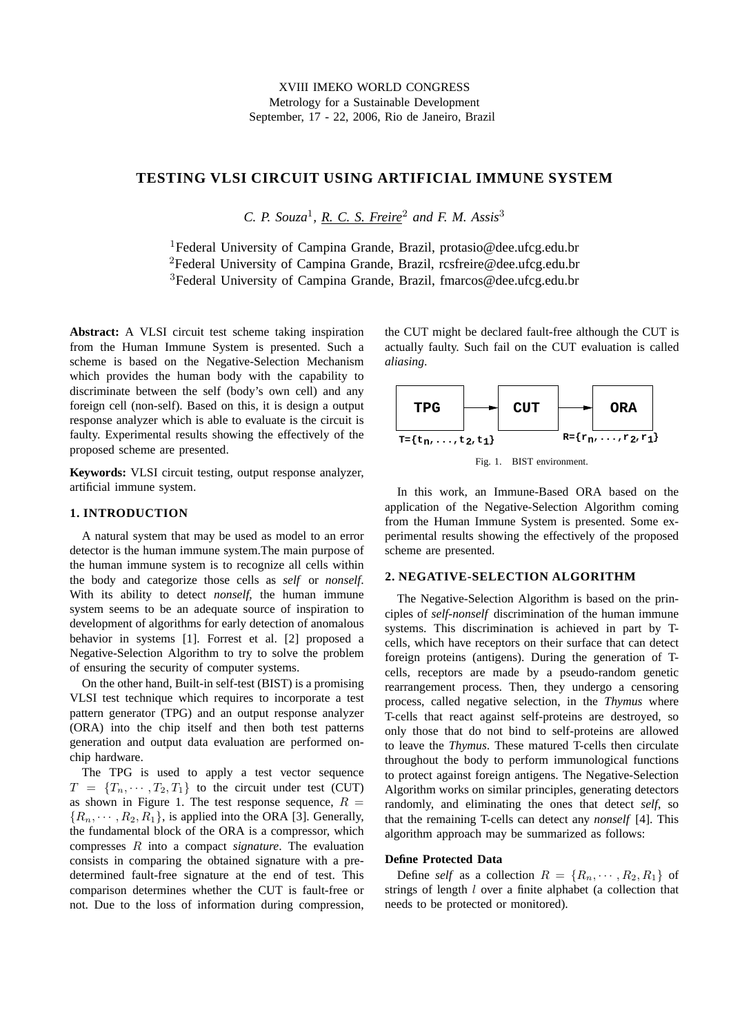# **TESTING VLSI CIRCUIT USING ARTIFICIAL IMMUNE SYSTEM**

*C. P. Souza*<sup>1</sup> *, R. C. S. Freire*<sup>2</sup> *and F. M. Assis*<sup>3</sup>

<sup>1</sup>Federal University of Campina Grande, Brazil, protasio@dee.ufcg.edu.br <sup>2</sup>Federal University of Campina Grande, Brazil, rcsfreire@dee.ufcg.edu.br <sup>3</sup>Federal University of Campina Grande, Brazil, fmarcos@dee.ufcg.edu.br

**Abstract:** A VLSI circuit test scheme taking inspiration from the Human Immune System is presented. Such a scheme is based on the Negative-Selection Mechanism which provides the human body with the capability to discriminate between the self (body's own cell) and any foreign cell (non-self). Based on this, it is design a output response analyzer which is able to evaluate is the circuit is faulty. Experimental results showing the effectively of the proposed scheme are presented.

**Keywords:** VLSI circuit testing, output response analyzer, artificial immune system.

### **1. INTRODUCTION**

A natural system that may be used as model to an error detector is the human immune system.The main purpose of the human immune system is to recognize all cells within the body and categorize those cells as *self* or *nonself*. With its ability to detect *nonself*, the human immune system seems to be an adequate source of inspiration to development of algorithms for early detection of anomalous behavior in systems [1]. Forrest et al. [2] proposed a Negative-Selection Algorithm to try to solve the problem of ensuring the security of computer systems.

On the other hand, Built-in self-test (BIST) is a promising VLSI test technique which requires to incorporate a test pattern generator (TPG) and an output response analyzer (ORA) into the chip itself and then both test patterns generation and output data evaluation are performed onchip hardware.

The TPG is used to apply a test vector sequence  $T = \{T_n, \dots, T_2, T_1\}$  to the circuit under test (CUT) as shown in Figure 1. The test response sequence,  $R =$  ${R_n, \dots, R_2, R_1}$ , is applied into the ORA [3]. Generally, the fundamental block of the ORA is a compressor, which compresses R into a compact *signature*. The evaluation consists in comparing the obtained signature with a predetermined fault-free signature at the end of test. This comparison determines whether the CUT is fault-free or not. Due to the loss of information during compression, the CUT might be declared fault-free although the CUT is actually faulty. Such fail on the CUT evaluation is called *aliasing*.



In this work, an Immune-Based ORA based on the application of the Negative-Selection Algorithm coming from the Human Immune System is presented. Some experimental results showing the effectively of the proposed scheme are presented.

# **2. NEGATIVE-SELECTION ALGORITHM**

The Negative-Selection Algorithm is based on the principles of *self-nonself* discrimination of the human immune systems. This discrimination is achieved in part by Tcells, which have receptors on their surface that can detect foreign proteins (antigens). During the generation of Tcells, receptors are made by a pseudo-random genetic rearrangement process. Then, they undergo a censoring process, called negative selection, in the *Thymus* where T-cells that react against self-proteins are destroyed, so only those that do not bind to self-proteins are allowed to leave the *Thymus*. These matured T-cells then circulate throughout the body to perform immunological functions to protect against foreign antigens. The Negative-Selection Algorithm works on similar principles, generating detectors randomly, and eliminating the ones that detect *self*, so that the remaining T-cells can detect any *nonself* [4]. This algorithm approach may be summarized as follows:

#### **Define Protected Data**

Define *self* as a collection  $R = \{R_n, \dots, R_2, R_1\}$  of strings of length l over a finite alphabet (a collection that needs to be protected or monitored).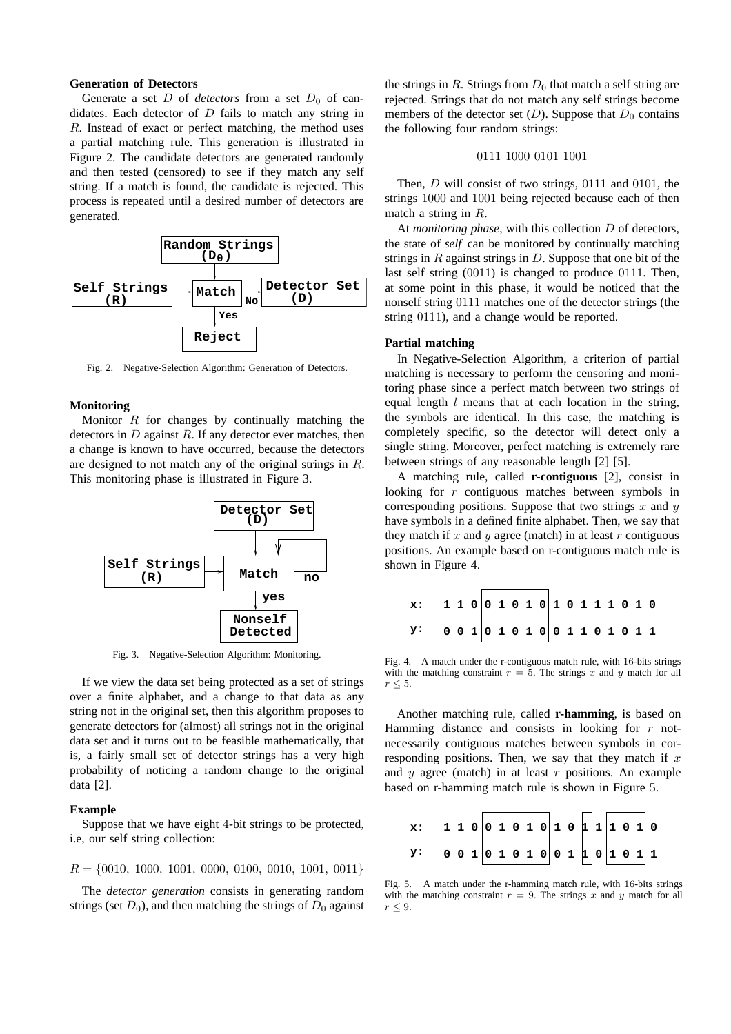#### **Generation of Detectors**

Generate a set  $D$  of *detectors* from a set  $D_0$  of candidates. Each detector of  $D$  fails to match any string in R. Instead of exact or perfect matching, the method uses a partial matching rule. This generation is illustrated in Figure 2. The candidate detectors are generated randomly and then tested (censored) to see if they match any self string. If a match is found, the candidate is rejected. This process is repeated until a desired number of detectors are generated.



Fig. 2. Negative-Selection Algorithm: Generation of Detectors.

#### **Monitoring**

Monitor  $R$  for changes by continually matching the detectors in  $D$  against  $R$ . If any detector ever matches, then a change is known to have occurred, because the detectors are designed to not match any of the original strings in R. This monitoring phase is illustrated in Figure 3.



Fig. 3. Negative-Selection Algorithm: Monitoring.

If we view the data set being protected as a set of strings over a finite alphabet, and a change to that data as any string not in the original set, then this algorithm proposes to generate detectors for (almost) all strings not in the original data set and it turns out to be feasible mathematically, that is, a fairly small set of detector strings has a very high probability of noticing a random change to the original data [2].

#### **Example**

Suppose that we have eight 4-bit strings to be protected, i.e, our self string collection:

 $R = \{0010, 1000, 1001, 0000, 0100, 0010, 1001, 0011\}$ 

The *detector generation* consists in generating random strings (set  $D_0$ ), and then matching the strings of  $D_0$  against the strings in R. Strings from  $D_0$  that match a self string are rejected. Strings that do not match any self strings become members of the detector set  $(D)$ . Suppose that  $D_0$  contains the following four random strings:

# 0111 1000 0101 1001

Then, *D* will consist of two strings, 0111 and 0101, the strings 1000 and 1001 being rejected because each of then match a string in R.

At *monitoring phase*, with this collection D of detectors, the state of *self* can be monitored by continually matching strings in  $R$  against strings in  $D$ . Suppose that one bit of the last self string (0011) is changed to produce 0111. Then, at some point in this phase, it would be noticed that the nonself string 0111 matches one of the detector strings (the string 0111), and a change would be reported.

## **Partial matching**

In Negative-Selection Algorithm, a criterion of partial matching is necessary to perform the censoring and monitoring phase since a perfect match between two strings of equal length  $l$  means that at each location in the string, the symbols are identical. In this case, the matching is completely specific, so the detector will detect only a single string. Moreover, perfect matching is extremely rare between strings of any reasonable length [2] [5].

A matching rule, called **r-contiguous** [2], consist in looking for r contiguous matches between symbols in corresponding positions. Suppose that two strings  $x$  and  $y$ have symbols in a defined finite alphabet. Then, we say that they match if  $x$  and  $y$  agree (match) in at least  $r$  contiguous positions. An example based on r-contiguous match rule is shown in Figure 4.

| x: 1 1 0 0 1 0 1 0 1 0 1 1 1 0 1 0 |  |  |  |  |  |  |  |  |
|------------------------------------|--|--|--|--|--|--|--|--|
| Y: 0 0 1 0 1 0 1 0 0 1 1 0 1 0 1 1 |  |  |  |  |  |  |  |  |

Fig. 4. A match under the r-contiguous match rule, with 16-bits strings with the matching constraint  $r = 5$ . The strings x and y match for all  $r \leq 5$ .

Another matching rule, called **r-hamming**, is based on Hamming distance and consists in looking for  $r$  notnecessarily contiguous matches between symbols in corresponding positions. Then, we say that they match if  $x$ and  $y$  agree (match) in at least  $r$  positions. An example based on r-hamming match rule is shown in Figure 5.

**x: y: 1 1 0 0 1 0 1 0 1 0 1 1 1 0 1 0 0 0 1 0 1 0 1 0 0 1 1 0 1 0 1 1**

Fig. 5. A match under the r-hamming match rule, with 16-bits strings with the matching constraint  $r = 9$ . The strings x and y match for all  $r \leq 9$ .